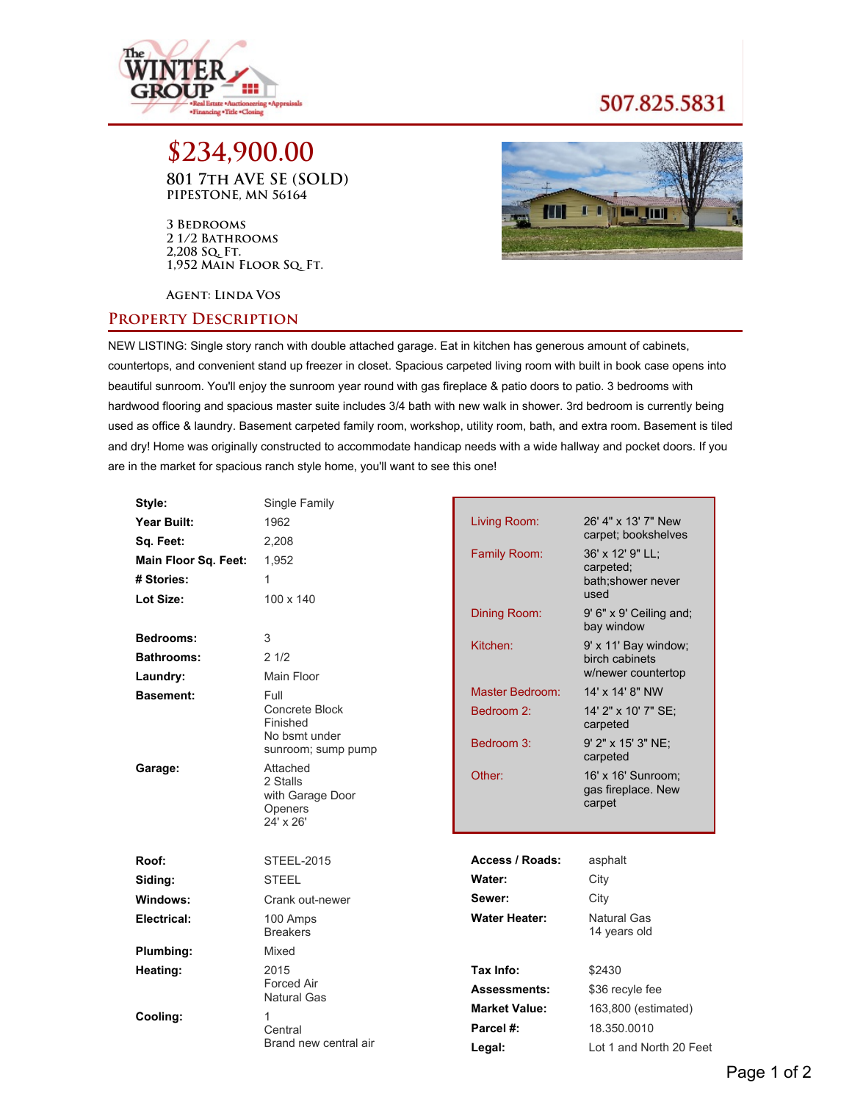

## 507.825.5831

**\$234,900.00 801 7th AVE SE (SOLD) PIPESTONE, MN 56164**

**3 Bedrooms 2 1/2 Bathrooms 2,208 Sq. Ft. 1,952 Main Floor Sq. Ft.**



**Agent: Linda Vos**

## **Property Description**

NEW LISTING: Single story ranch with double attached garage. Eat in kitchen has generous amount of cabinets, countertops, and convenient stand up freezer in closet. Spacious carpeted living room with built in book case opens into beautiful sunroom. You'll enjoy the sunroom year round with gas fireplace & patio doors to patio. 3 bedrooms with hardwood flooring and spacious master suite includes 3/4 bath with new walk in shower. 3rd bedroom is currently being used as office & laundry. Basement carpeted family room, workshop, utility room, bath, and extra room. Basement is tiled and dry! Home was originally constructed to accommodate handicap needs with a wide hallway and pocket doors. If you are in the market for spacious ranch style home, you'll want to see this one!

| Style:               | Single Family                                                    |                      |                                                    |
|----------------------|------------------------------------------------------------------|----------------------|----------------------------------------------------|
| Year Built:          | 1962                                                             | Living Room:         | 26' 4" x 13' 7" New<br>carpet; bookshelves         |
| Sq. Feet:            | 2,208                                                            |                      |                                                    |
| Main Floor Sq. Feet: | 1,952                                                            | <b>Family Room:</b>  | 36' x 12' 9" LL;<br>carpeted;                      |
| # Stories:           | 1                                                                |                      | bath;shower never<br>used                          |
| Lot Size:            | $100 \times 140$                                                 |                      |                                                    |
|                      |                                                                  | Dining Room:         | 9' 6" x 9' Ceiling and;<br>bay window              |
| Bedrooms:            | 3                                                                | Kitchen:             | 9' x 11' Bay window;                               |
| <b>Bathrooms:</b>    | 21/2                                                             |                      | birch cabinets                                     |
| Laundry:             | Main Floor                                                       |                      | w/newer countertop                                 |
| <b>Basement:</b>     | Full                                                             | Master Bedroom:      | 14' x 14' 8" NW                                    |
|                      | Concrete Block<br>Finished                                       | Bedroom 2:           | 14' 2" x 10' 7" SE;<br>carpeted                    |
|                      | No bsmt under<br>sunroom; sump pump                              | Bedroom 3:           | 9' 2" x 15' 3" NE:<br>carpeted                     |
| Garage:              | Attached<br>2 Stalls<br>with Garage Door<br>Openers<br>24' x 26' | Other:               | 16' x 16' Sunroom:<br>gas fireplace. New<br>carpet |
| Roof:                | <b>STEEL-2015</b>                                                | Access / Roads:      | asphalt                                            |
| Siding:              | <b>STEEL</b>                                                     | Water:               | City                                               |
| Windows:             | Crank out-newer                                                  | Sewer:               | City                                               |
| Electrical:          | 100 Amps<br><b>Breakers</b>                                      | <b>Water Heater:</b> | Natural Gas<br>14 years old                        |
| Plumbing:            | Mixed                                                            |                      |                                                    |
| Heating:             | 2015                                                             | Tax Info:            | \$2430                                             |
|                      | Forced Air                                                       | <b>Assessments:</b>  | \$36 recyle fee                                    |
|                      | <b>Natural Gas</b>                                               | <b>Market Value:</b> | 163,800 (estimated)                                |
| Cooling:             | $\mathbf{1}$<br>Central                                          | Parcel #:            | 18.350.0010                                        |
|                      | Brand new central air                                            | Legal:               | Lot 1 and North 20 Feet                            |